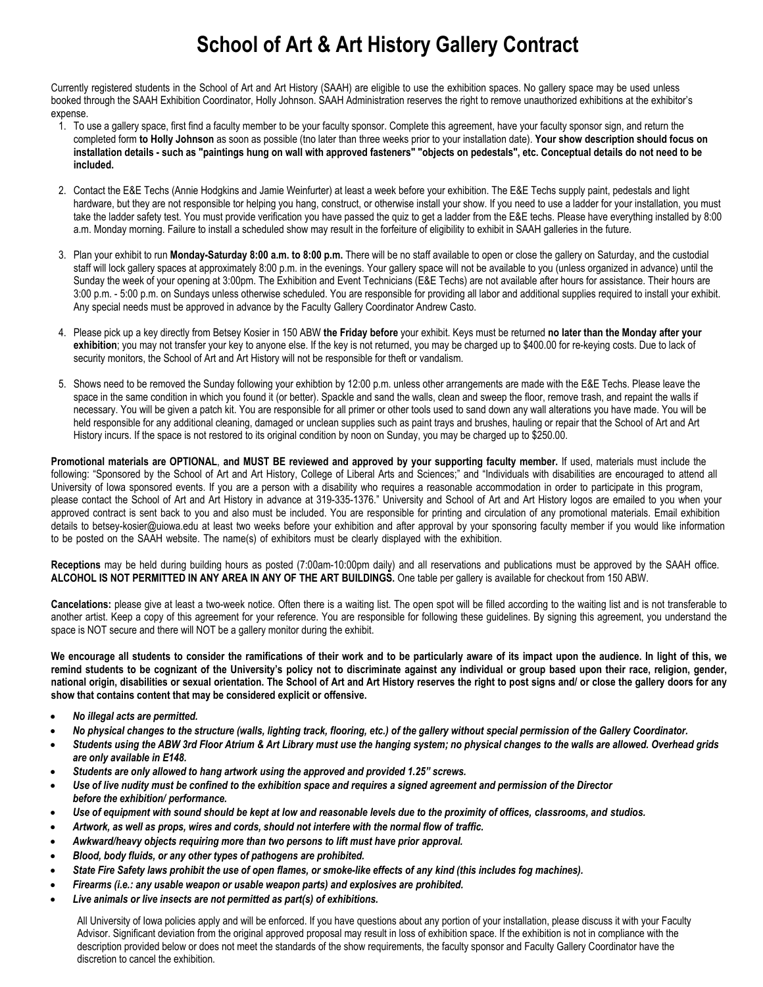## **School of Art & Art History Gallery Contract**

Currently registered students in the School of Art and Art History (SAAH) are eligible to use the exhibition spaces. No gallery space may be used unless booked through the SAAH Exhibition Coordinator, Holly Johnson. SAAH Administration reserves the right to remove unauthorized exhibitions at the exhibitor's expense.

- 1. To use a gallery space, first find a faculty member to be your faculty sponsor. Complete this agreement, have your faculty sponsor sign, and return the completed form **to Holly Johnson** as soon as possible (tno later than three weeks prior to your installation date). **Your show description should focus on installation details - such as "paintings hung on wall with approved fasteners" "objects on pedestals", etc. Conceptual details do not need to be included.**
- 2. Contact the E&E Techs (Annie Hodgkins and Jamie Weinfurter) at least a week before your exhibition. The E&E Techs supply paint, pedestals and light hardware, but they are not responsible tor helping you hang, construct, or otherwise install your show. If you need to use a ladder for your installation, you must take the ladder safety test. You must provide verification you have passed the quiz to get a ladder from the E&E techs. Please have everything installed by 8:00 a.m. Monday morning. Failure to install a scheduled show may result in the forfeiture of eligibility to exhibit in SAAH galleries in the future.
- 3. Plan your exhibit to run **Monday-Saturday 8:00 a.m. to 8:00 p.m.** There will be no staff available to open or close the gallery on Saturday, and the custodial staff will lock gallery spaces at approximately 8:00 p.m. in the evenings. Your gallery space will not be available to you (unless organized in advance) until the Sunday the week of your opening at 3:00pm. The Exhibition and Event Technicians (E&E Techs) are not available after hours for assistance. Their hours are 3:00 p.m. - 5:00 p.m. on Sundays unless otherwise scheduled. You are responsible for providing all labor and additional supplies required to install your exhibit. Any special needs must be approved in advance by the Faculty Gallery Coordinator Andrew Casto.
- 4. Please pick up a key directly from Betsey Kosier in 150 ABW **the Friday before** your exhibit. Keys must be returned **no later than the Monday after your exhibition**; you may not transfer your key to anyone else. If the key is not returned, you may be charged up to \$400.00 for re-keying costs. Due to lack of security monitors, the School of Art and Art History will not be responsible for theft or vandalism.
- 5. Shows need to be removed the Sunday following your exhibtion by 12:00 p.m. unless other arrangements are made with the E&E Techs. Please leave the space in the same condition in which you found it (or better). Spackle and sand the walls, clean and sweep the floor, remove trash, and repaint the walls if necessary. You will be given a patch kit. You are responsible for all primer or other tools used to sand down any wall alterations you have made. You will be held responsible for any additional cleaning, damaged or unclean supplies such as paint trays and brushes, hauling or repair that the School of Art and Art History incurs. If the space is not restored to its original condition by noon on Sunday, you may be charged up to \$250.00.

**Promotional materials are OPTIONAL**, **and MUST BE reviewed and approved by your supporting faculty member.** If used, materials must include the following: "Sponsored by the School of Art and Art History, College of Liberal Arts and Sciences;" and "Individuals with disabilities are encouraged to attend all University of Iowa sponsored events. If you are a person with a disability who requires a reasonable accommodation in order to participate in this program, please contact the School of Art and Art History in advance at 319-335-1376." University and School of Art and Art History logos are emailed to you when your approved contract is sent back to you and also must be included. You are responsible for printing and circulation of any promotional materials. Email exhibition details to betsey-kosier@uiowa.edu at least two weeks before your exhibition and after approval by your sponsoring faculty member if you would like information to be posted on the SAAH website. The name(s) of exhibitors must be clearly displayed with the exhibition.

**Receptions** may be held during building hours as posted (7:00am-10:00pm daily) and all reservations and publications must be approved by the SAAH office. **ALCOHOL IS NOT PERMITTED IN ANY AREA IN ANY OF THE ART BUILDINGS.** One table per gallery is available for checkout from 150 ABW.

**Cancelations:** please give at least a two-week notice. Often there is a waiting list. The open spot will be filled according to the waiting list and is not transferable to another artist. Keep a copy of this agreement for your reference. You are responsible for following these guidelines. By signing this agreement, you understand the space is NOT secure and there will NOT be a gallery monitor during the exhibit.

**We encourage all students to consider the ramifications of their work and to be particularly aware of its impact upon the audience. In light of this, we remind students to be cognizant of the University's policy not to discriminate against any individual or group based upon their race, religion, gender, national origin, disabilities or sexual orientation. The School of Art and Art History reserves the right to post signs and/ or close the gallery doors for any show that contains content that may be considered explicit or offensive.** 

- *No illegal acts are permitted.*
- *No physical changes to the structure (walls, lighting track, flooring, etc.) of the gallery without special permission of the Gallery Coordinator.*
- *Students using the ABW 3rd Floor Atrium & Art Library must use the hanging system; no physical changes to the walls are allowed. Overhead grids are only available in E148.*
- *Students are only allowed to hang artwork using the approved and provided 1.25" screws.*
- *Use of live nudity must be confined to the exhibition space and requires a signed agreement and permission of the Director before the exhibition/ performance.*
- *Use of equipment with sound should be kept at low and reasonable levels due to the proximity of offices, classrooms, and studios.*
- *Artwork, as well as props, wires and cords, should not interfere with the normal flow of traffic.*
- *Awkward/heavy objects requiring more than two persons to lift must have prior approval.*
- *Blood, body fluids, or any other types of pathogens are prohibited.*
- *State Fire Safety laws prohibit the use of open flames, or smoke-like effects of any kind (this includes fog machines).*
- *Firearms (i.e.: any usable weapon or usable weapon parts) and explosives are prohibited.*
- *Live animals or live insects are not permitted as part(s) of exhibitions.*

All University of Iowa policies apply and will be enforced. If you have questions about any portion of your installation, please discuss it with your Faculty Advisor. Significant deviation from the original approved proposal may result in loss of exhibition space. If the exhibition is not in compliance with the description provided below or does not meet the standards of the show requirements, the faculty sponsor and Faculty Gallery Coordinator have the discretion to cancel the exhibition.